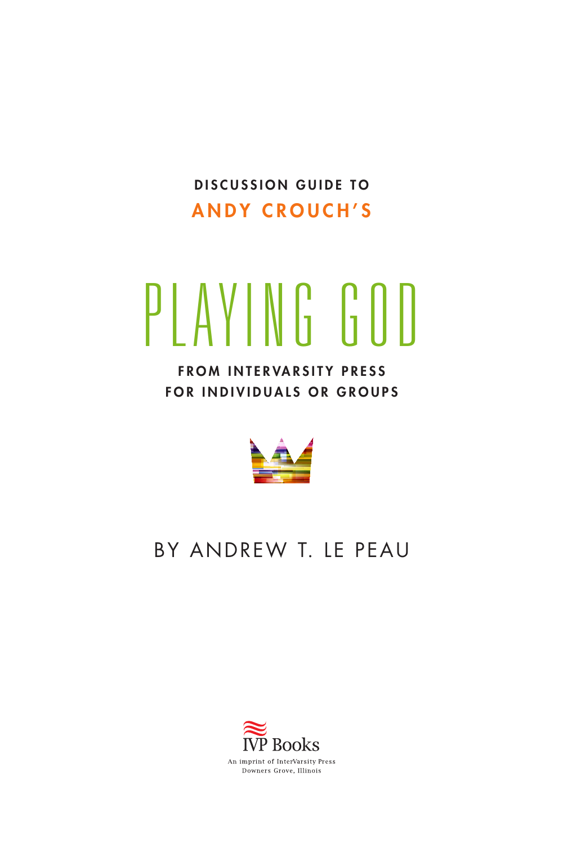DISCUSSION GUIDE TO **ANDY CROUCH'S** 

# PLAYING GOD

**FROM INTERVARSITY PRESS** FOR INDIVIDUALS OR GROUPS



#### By Andrew T. Le Peau

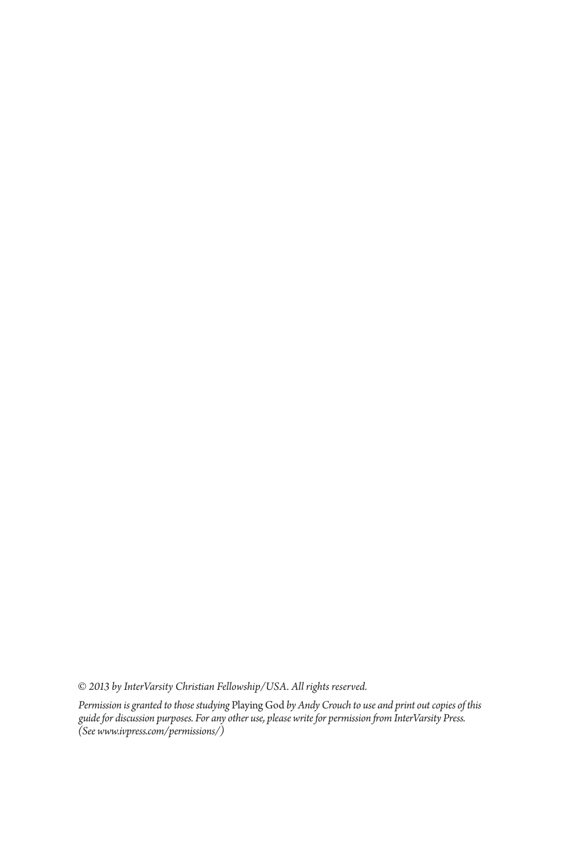*© 2013 by InterVarsity Christian Fellowship/USA. All rights reserved.* 

*Permission is granted to those studying* Playing God *by Andy Crouch to use and print out copies of this guide for discussion purposes. For any other use, please write for permission from InterVarsity Press. (See [www.ivpress.com/permissions/\)](http://www.ivpress.com/permissions/)*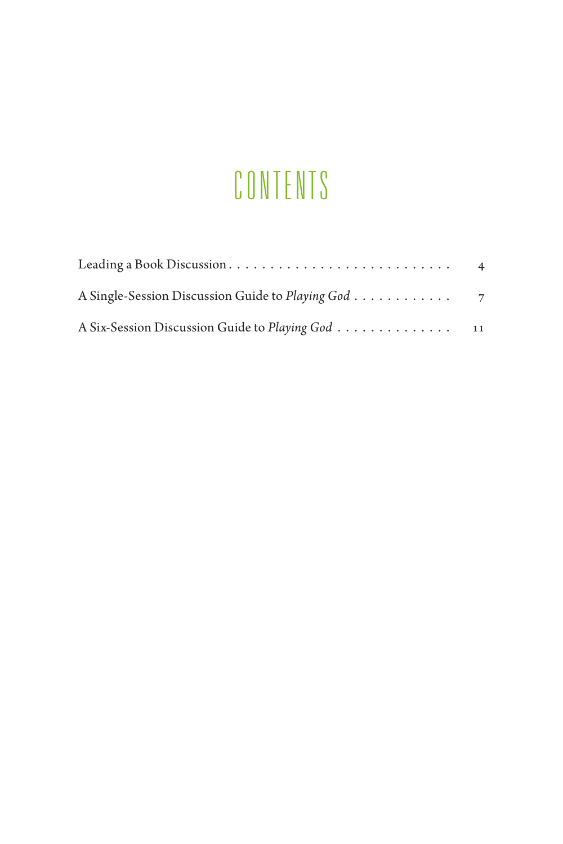# CONTENTS

| Leading a Book Discussion                          | $\overline{4}$ |
|----------------------------------------------------|----------------|
| A Single-Session Discussion Guide to Playing God 7 |                |
| A Six-Session Discussion Guide to Playing God 11   |                |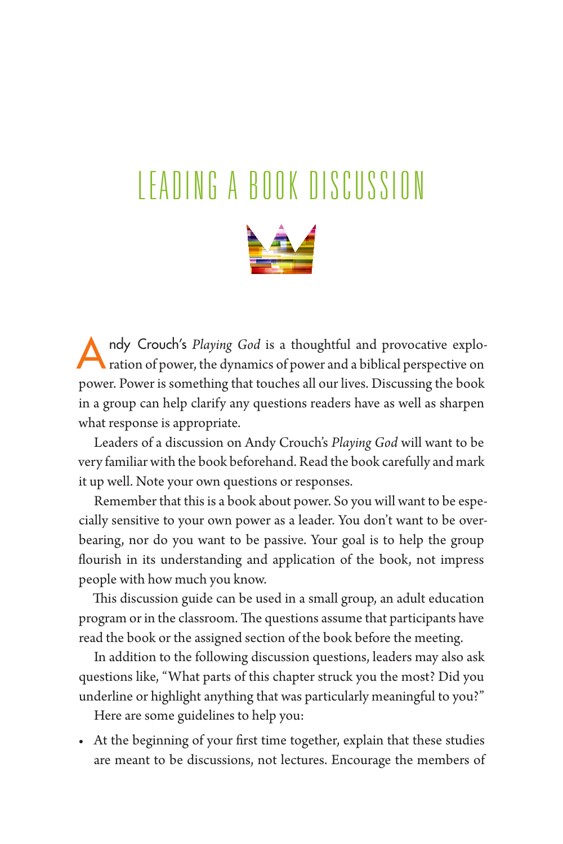# <span id="page-3-0"></span>L eading a Book Di scussion



ndy Crouch's *Playing God* is a thoughtful and provocative exploration of power, the dynamics of power and a biblical perspective on power. Power is something that touches all our lives. Discussing the book in a group can help clarify any questions readers have as well as sharpen what response is appropriate.

Leaders of a discussion on Andy Crouch's *Playing God* will want to be very familiar with the book beforehand. Read the book carefully and mark it up well. Note your own questions or responses.

Remember that this is a book about power. So you will want to be especially sensitive to your own power as a leader. You don't want to be overbearing, nor do you want to be passive. Your goal is to help the group flourish in its understanding and application of the book, not impress people with how much you know.

This discussion guide can be used in a small group, an adult education program or in the classroom. The questions assume that participants have read the book or the assigned section of the book before the meeting.

In addition to the following discussion questions, leaders may also ask questions like, "What parts of this chapter struck you the most? Did you underline or highlight anything that was particularly meaningful to you?"

Here are some guidelines to help you:

• At the beginning of your first time together, explain that these studies are meant to be discussions, not lectures. Encourage the members of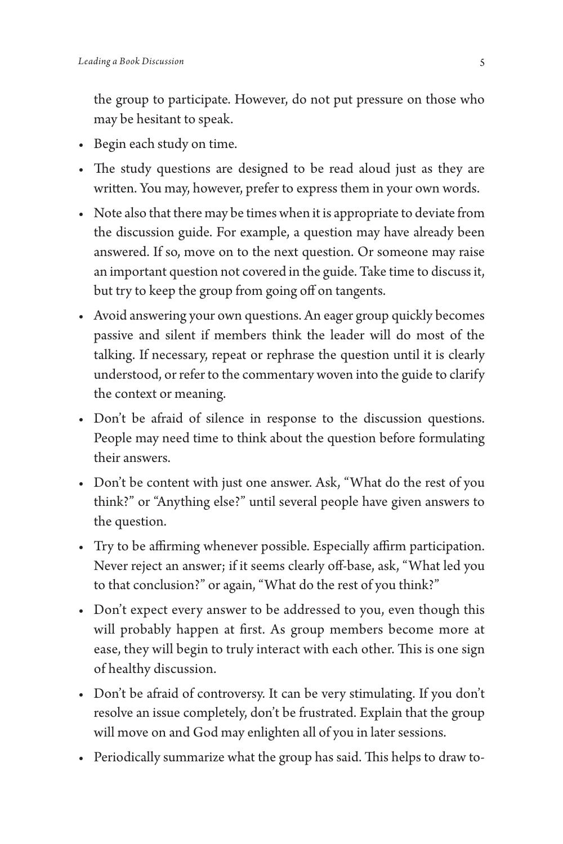the group to participate. However, do not put pressure on those who may be hesitant to speak.

- Begin each study on time.
- The study questions are designed to be read aloud just as they are written. You may, however, prefer to express them in your own words.
- Note also that there may be times when it is appropriate to deviate from the discussion guide. For example, a question may have already been answered. If so, move on to the next question. Or someone may raise an important question not covered in the guide. Take time to discuss it, but try to keep the group from going off on tangents.
- Avoid answering your own questions. An eager group quickly becomes passive and silent if members think the leader will do most of the talking. If necessary, repeat or rephrase the question until it is clearly understood, or refer to the commentary woven into the guide to clarify the context or meaning.
- Don't be afraid of silence in response to the discussion questions. People may need time to think about the question before formulating their answers.
- Don't be content with just one answer. Ask, "What do the rest of you think?" or "Anything else?" until several people have given answers to the question.
- Try to be affirming whenever possible. Especially affirm participation. Never reject an answer; if it seems clearly off-base, ask, "What led you to that conclusion?" or again, "What do the rest of you think?"
- Don't expect every answer to be addressed to you, even though this will probably happen at first. As group members become more at ease, they will begin to truly interact with each other. This is one sign of healthy discussion.
- Don't be afraid of controversy. It can be very stimulating. If you don't resolve an issue completely, don't be frustrated. Explain that the group will move on and God may enlighten all of you in later sessions.
- Periodically summarize what the group has said. This helps to draw to-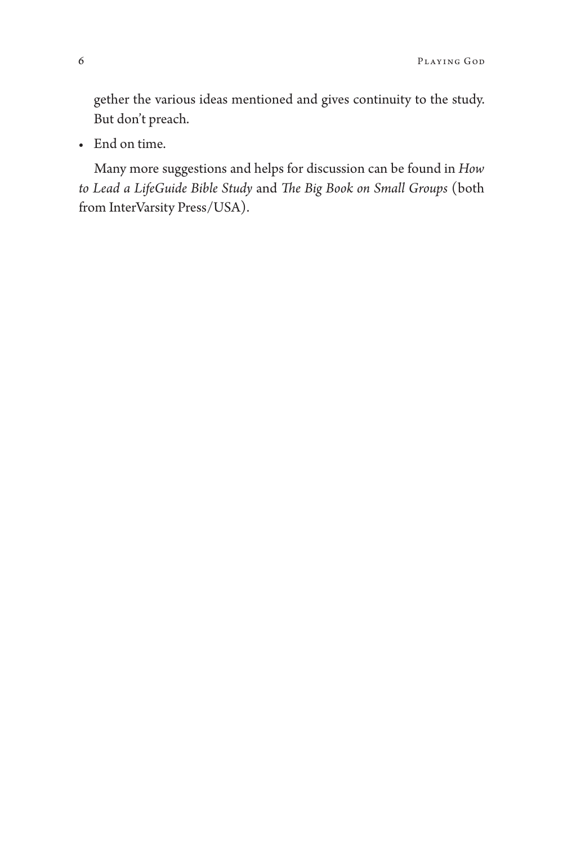gether the various ideas mentioned and gives continuity to the study. But don't preach.

• End on time.

Many more suggestions and helps for discussion can be found in *[How](http://www.ivpress.com/cgi-ivpress/book.pl/code%3D3000)  [to Lead a LifeGuide Bible Study](http://www.ivpress.com/cgi-ivpress/book.pl/code%3D3000)* and *[The Big Book on Small Groups](http://www.ivpress.com/cgi-ivpress/book.pl/code%3D2370)* (both from InterVarsity Press/USA).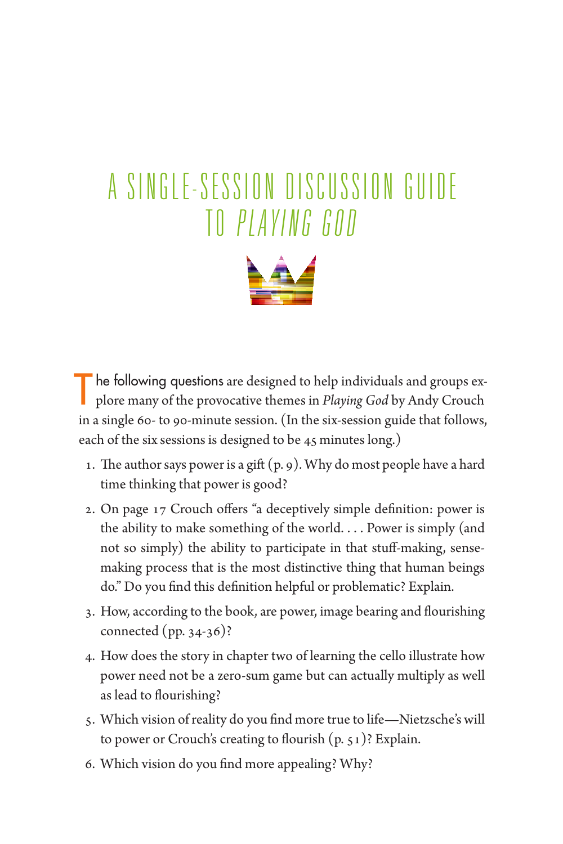## <span id="page-6-0"></span>A SINGLE-SESSION DISCUSSION GUIDE to *Playing God*



The following questions are designed to help individuals and groups explore many of the provocative themes in *Playing God* by Andy Crouch in a single 60- to 90-minute session. (In the six-session guide that follows, each of the six sessions is designed to be 45 minutes long.)

- 1. The author says power is a gift (p. 9). Why do most people have a hard time thinking that power is good?
- 2. On page 17 Crouch offers "a deceptively simple definition: power is the ability to make something of the world.... Power is simply (and not so simply) the ability to participate in that stuff-making, sensemaking process that is the most distinctive thing that human beings do." Do you find this definition helpful or problematic? Explain.
- 3. How, according to the book, are power, image bearing and flourishing connected (pp. 34-36)?
- 4. How does the story in chapter two of learning the cello illustrate how power need not be a zero-sum game but can actually multiply as well as lead to flourishing?
- 5. Which vision of reality do you find more true to life—Nietzsche's will to power or Crouch's creating to flourish (p. 51)? Explain.
- 6. Which vision do you find more appealing? Why?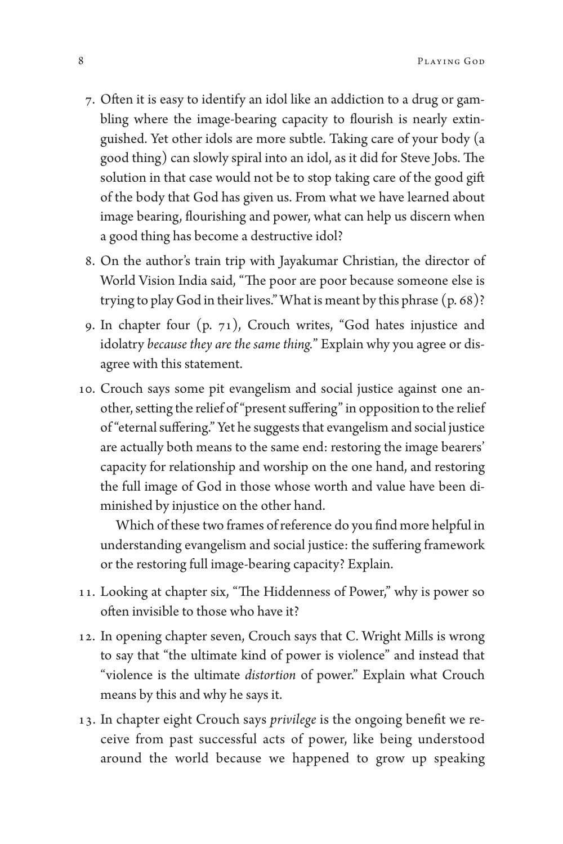- 7. Often it is easy to identify an idol like an addiction to a drug or gambling where the image-bearing capacity to flourish is nearly extinguished. Yet other idols are more subtle. Taking care of your body (a good thing) can slowly spiral into an idol, as it did for Steve Jobs. The solution in that case would not be to stop taking care of the good gift of the body that God has given us. From what we have learned about image bearing, flourishing and power, what can help us discern when a good thing has become a destructive idol?
- 8. On the author's train trip with Jayakumar Christian, the director of World Vision India said, "The poor are poor because someone else is trying to play God in their lives." What is meant by this phrase (p. 68)?
- 9. In chapter four (p. 71), Crouch writes, "God hates injustice and idolatry *because they are the same thing.*" Explain why you agree or disagree with this statement.
- 10. Crouch says some pit evangelism and social justice against one another, setting the relief of "present suffering" in opposition to the relief of "eternal suffering." Yet he suggests that evangelism and social justice are actually both means to the same end: restoring the image bearers' capacity for relationship and worship on the one hand, and restoring the full image of God in those whose worth and value have been diminished by injustice on the other hand.

Which of these two frames of reference do you find more helpful in understanding evangelism and social justice: the suffering framework or the restoring full image-bearing capacity? Explain.

- 11. Looking at chapter six, "The Hiddenness of Power," why is power so often invisible to those who have it?
- 12. In opening chapter seven, Crouch says that C. Wright Mills is wrong to say that "the ultimate kind of power is violence" and instead that "violence is the ultimate *distortion* of power." Explain what Crouch means by this and why he says it.
- 13. In chapter eight Crouch says *privilege* is the ongoing benefit we receive from past successful acts of power, like being understood around the world because we happened to grow up speaking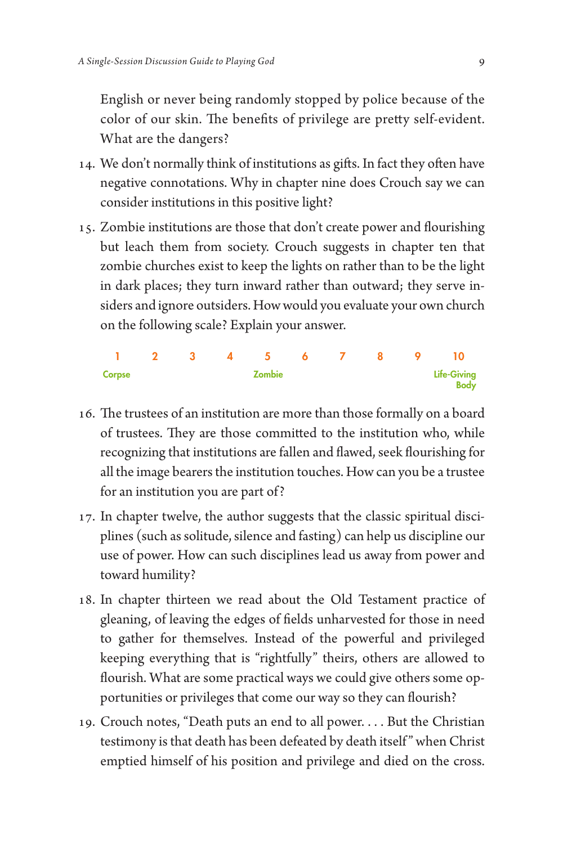English or never being randomly stopped by police because of the color of our skin. The benefits of privilege are pretty self-evident. What are the dangers?

- 14. We don't normally think of institutions as gifts. In fact they often have negative connotations. Why in chapter nine does Crouch say we can consider institutions in this positive light?
- 15. Zombie institutions are those that don't create power and flourishing but leach them from society. Crouch suggests in chapter ten that zombie churches exist to keep the lights on rather than to be the light in dark places; they turn inward rather than outward; they serve insiders and ignore outsiders. How would you evaluate your own church on the following scale? Explain your answer.

|        |        |  |  |  |  |                    | 1 2 3 4 5 6 7 8 9 10 |             |
|--------|--------|--|--|--|--|--------------------|----------------------|-------------|
| Corpse | Zombie |  |  |  |  | <b>Life-Giving</b> |                      |             |
|        |        |  |  |  |  |                    |                      | <b>Body</b> |

- 16. The trustees of an institution are more than those formally on a board of trustees. They are those committed to the institution who, while recognizing that institutions are fallen and flawed, seek flourishing for all the image bearers the institution touches. How can you be a trustee for an institution you are part of?
- 17. In chapter twelve, the author suggests that the classic spiritual disciplines (such as solitude, silence and fasting) can help us discipline our use of power. How can such disciplines lead us away from power and toward humility?
- 18. In chapter thirteen we read about the Old Testament practice of gleaning, of leaving the edges of fields unharvested for those in need to gather for themselves. Instead of the powerful and privileged keeping everything that is "rightfully" theirs, others are allowed to flourish. What are some practical ways we could give others some opportunities or privileges that come our way so they can flourish?
- 19. Crouch notes, "Death puts an end to all power.... But the Christian testimony is that death has been defeated by death itself " when Christ emptied himself of his position and privilege and died on the cross.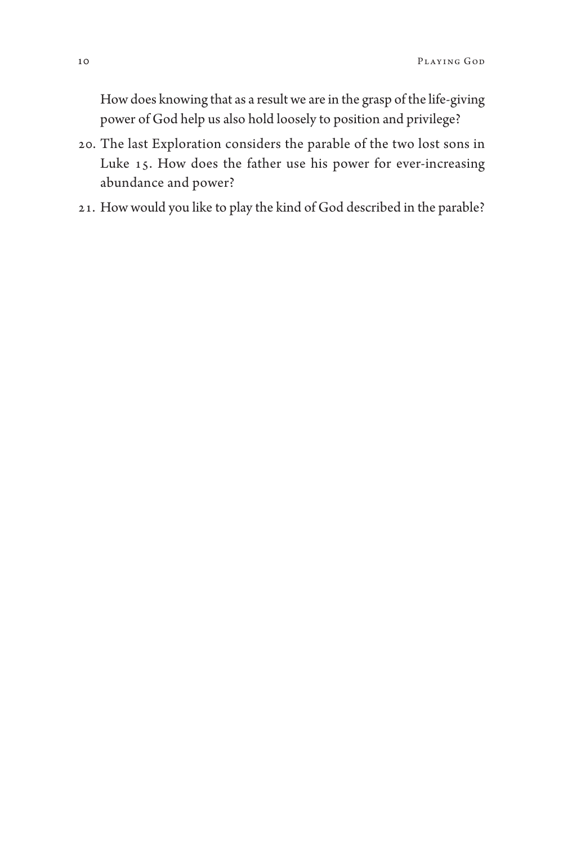How does knowing that as a result we are in the grasp of the life-giving power of God help us also hold loosely to position and privilege?

- 20. The last Exploration considers the parable of the two lost sons in Luke 15. How does the father use his power for ever-increasing abundance and power?
- 21. How would you like to play the kind of God described in the parable?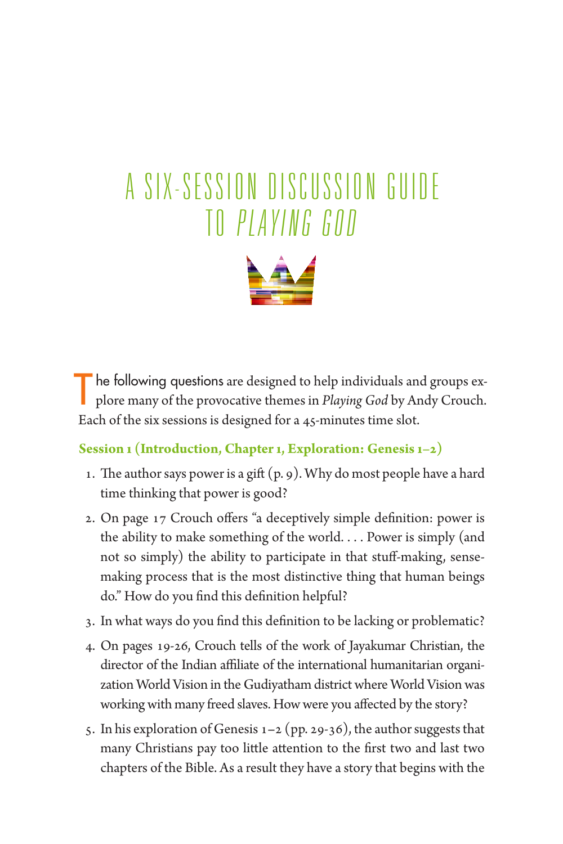# <span id="page-10-0"></span>A SIX-SESSION DISCUSSION GUIDE TO PLAYING GOD



The following questions are designed to help individuals and groups ex-<br>plore many of the provocative themes in *Playing God* by Andy Crouch. Each of the six sessions is designed for a 45-minutes time slot.

#### **Session 1 (Introduction, Chapter 1, Exploration: Genesis 1–2)**

- 1. The author says power is a gift  $(p, g)$ . Why do most people have a hard time thinking that power is good?
- 2. On page 17 Crouch offers "a deceptively simple definition: power is the ability to make something of the world.... Power is simply (and not so simply) the ability to participate in that stuff-making, sensemaking process that is the most distinctive thing that human beings do." How do you find this definition helpful?
- 3. In what ways do you find this definition to be lacking or problematic?
- 4. On pages 19-26, Crouch tells of the work of Jayakumar Christian, the director of the Indian affiliate of the international humanitarian organization World Vision in the Gudiyatham district where World Vision was working with many freed slaves. How were you affected by the story?
- 5. In his exploration of Genesis 1**–**2 (pp. 29-36), the author suggests that many Christians pay too little attention to the first two and last two chapters of the Bible. As a result they have a story that begins with the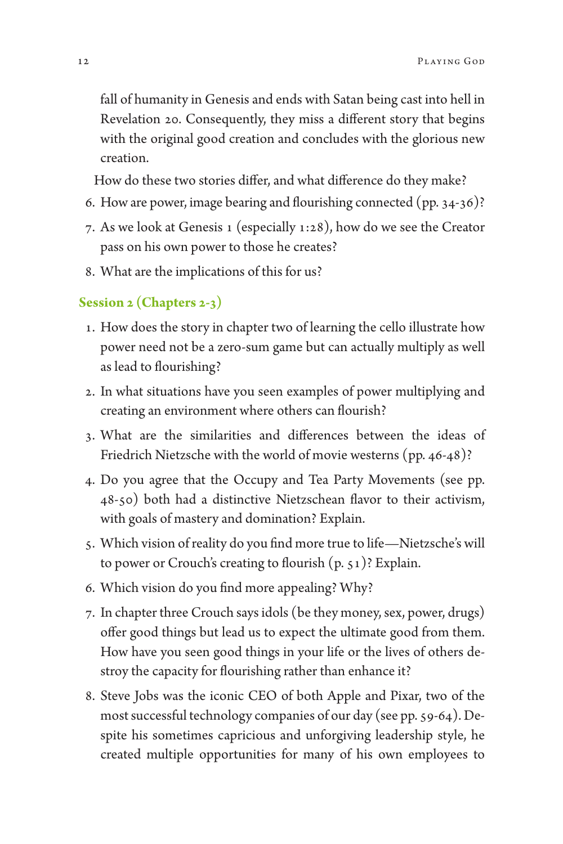fall of humanity in Genesis and ends with Satan being cast into hell in Revelation 20. Consequently, they miss a different story that begins with the original good creation and concludes with the glorious new creation.

How do these two stories differ, and what difference do they make?

- 6. How are power, image bearing and flourishing connected (pp. 34-36)?
- 7. As we look at Genesis 1 (especially 1:28), how do we see the Creator pass on his own power to those he creates?
- 8. What are the implications of this for us?

#### **Session 2 (Chapters 2-3)**

- 1. How does the story in chapter two of learning the cello illustrate how power need not be a zero-sum game but can actually multiply as well as lead to flourishing?
- 2. In what situations have you seen examples of power multiplying and creating an environment where others can flourish?
- 3. What are the similarities and differences between the ideas of Friedrich Nietzsche with the world of movie westerns (pp. 46-48)?
- 4. Do you agree that the Occupy and Tea Party Movements (see pp. 48-50) both had a distinctive Nietzschean flavor to their activism, with goals of mastery and domination? Explain.
- 5. Which vision of reality do you find more true to life—Nietzsche's will to power or Crouch's creating to flourish (p. 51)? Explain.
- 6. Which vision do you find more appealing? Why?
- 7. In chapter three Crouch says idols (be they money, sex, power, drugs) offer good things but lead us to expect the ultimate good from them. How have you seen good things in your life or the lives of others destroy the capacity for flourishing rather than enhance it?
- 8. Steve Jobs was the iconic CEO of both Apple and Pixar, two of the most successful technology companies of our day (see pp. 59-64). Despite his sometimes capricious and unforgiving leadership style, he created multiple opportunities for many of his own employees to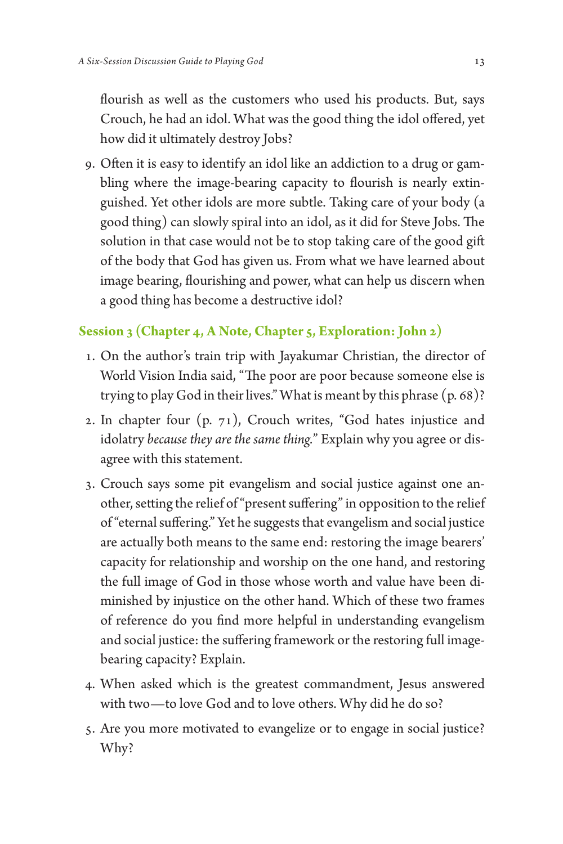flourish as well as the customers who used his products. But, says Crouch, he had an idol. What was the good thing the idol offered, yet how did it ultimately destroy Jobs?

9. Often it is easy to identify an idol like an addiction to a drug or gambling where the image-bearing capacity to flourish is nearly extinguished. Yet other idols are more subtle. Taking care of your body (a good thing) can slowly spiral into an idol, as it did for Steve Jobs. The solution in that case would not be to stop taking care of the good gift of the body that God has given us. From what we have learned about image bearing, flourishing and power, what can help us discern when a good thing has become a destructive idol?

#### **Session 3 (Chapter 4, A Note, Chapter 5, Exploration: John 2)**

- 1. On the author's train trip with Jayakumar Christian, the director of World Vision India said, "The poor are poor because someone else is trying to play God in their lives." What is meant by this phrase (p. 68)?
- 2. In chapter four (p. 71), Crouch writes, "God hates injustice and idolatry *because they are the same thing.*" Explain why you agree or disagree with this statement.
- 3. Crouch says some pit evangelism and social justice against one another, setting the relief of "present suffering" in opposition to the relief of "eternal suffering." Yet he suggests that evangelism and social justice are actually both means to the same end: restoring the image bearers' capacity for relationship and worship on the one hand, and restoring the full image of God in those whose worth and value have been diminished by injustice on the other hand. Which of these two frames of reference do you find more helpful in understanding evangelism and social justice: the suffering framework or the restoring full imagebearing capacity? Explain.
- 4. When asked which is the greatest commandment, Jesus answered with two—to love God and to love others. Why did he do so?
- 5. Are you more motivated to evangelize or to engage in social justice? Why?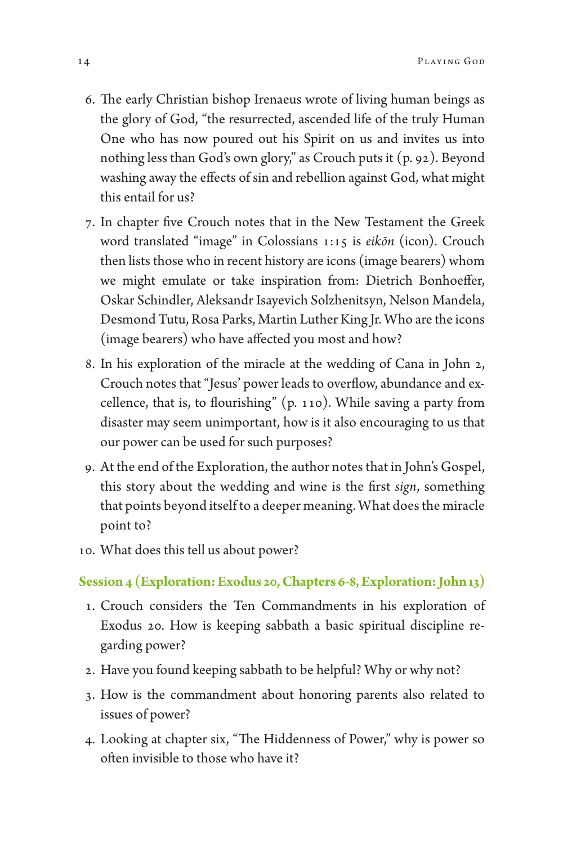- 6. The early Christian bishop Irenaeus wrote of living human beings as the glory of God, "the resurrected, ascended life of the truly Human One who has now poured out his Spirit on us and invites us into nothing less than God's own glory," as Crouch puts it (p. 92). Beyond washing away the effects of sin and rebellion against God, what might this entail for us?
- 7. In chapter five Crouch notes that in the New Testament the Greek word translated "image" in Colossians 1:15 is *eikōn* (icon). Crouch then lists those who in recent history are icons (image bearers) whom we might emulate or take inspiration from: Dietrich Bonhoeffer, Oskar Schindler, Aleksandr Isayevich Solzhenitsyn, Nelson Mandela, Desmond Tutu, Rosa Parks, Martin Luther King Jr. Who are the icons (image bearers) who have affected you most and how?
- 8. In his exploration of the miracle at the wedding of Cana in John 2, Crouch notes that "Jesus' power leads to overflow, abundance and excellence, that is, to flourishing" (p. 110). While saving a party from disaster may seem unimportant, how is it also encouraging to us that our power can be used for such purposes?
- 9. At the end of the Exploration, the author notes that in John's Gospel, this story about the wedding and wine is the first *sign*, something that points beyond itself to a deeper meaning. What does the miracle point to?
- 10. What does this tell us about power?

#### **Session 4 (Exploration: Exodus 20, Chapters 6-8, Exploration: John 13)**

- 1. Crouch considers the Ten Commandments in his exploration of Exodus 20. How is keeping sabbath a basic spiritual discipline regarding power?
- 2. Have you found keeping sabbath to be helpful? Why or why not?
- 3. How is the commandment about honoring parents also related to issues of power?
- 4. Looking at chapter six, "The Hiddenness of Power," why is power so often invisible to those who have it?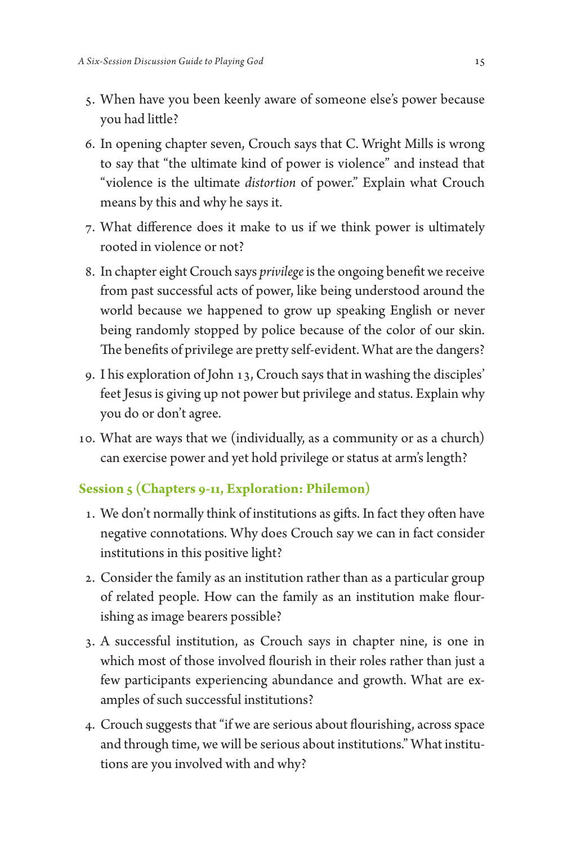- 5. When have you been keenly aware of someone else's power because you had little?
- 6. In opening chapter seven, Crouch says that C. Wright Mills is wrong to say that "the ultimate kind of power is violence" and instead that "violence is the ultimate *distortion* of power." Explain what Crouch means by this and why he says it.
- 7. What difference does it make to us if we think power is ultimately rooted in violence or not?
- 8. In chapter eight Crouch says *privilege* is the ongoing benefit we receive from past successful acts of power, like being understood around the world because we happened to grow up speaking English or never being randomly stopped by police because of the color of our skin. The benefits of privilege are pretty self-evident. What are the dangers?
- 9. I his exploration of John 13, Crouch says that in washing the disciples' feet Jesus is giving up not power but privilege and status. Explain why you do or don't agree.
- 10. What are ways that we (individually, as a community or as a church) can exercise power and yet hold privilege or status at arm's length?

#### **Session 5 (Chapters 9-11, Exploration: Philemon)**

- 1. We don't normally think of institutions as gifts. In fact they often have negative connotations. Why does Crouch say we can in fact consider institutions in this positive light?
- 2. Consider the family as an institution rather than as a particular group of related people. How can the family as an institution make flourishing as image bearers possible?
- 3. A successful institution, as Crouch says in chapter nine, is one in which most of those involved flourish in their roles rather than just a few participants experiencing abundance and growth. What are examples of such successful institutions?
- 4. Crouch suggests that "if we are serious about flourishing, across space and through time, we will be serious about institutions." What institutions are you involved with and why?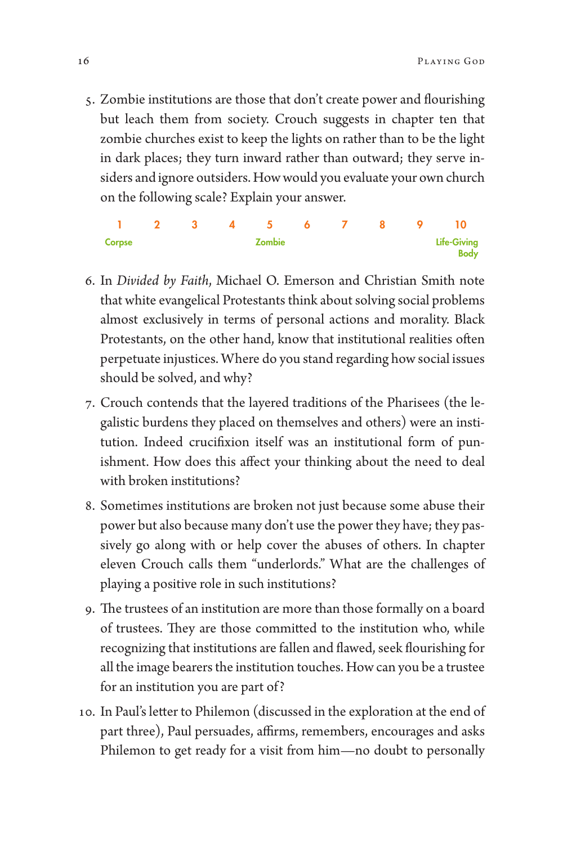5. Zombie institutions are those that don't create power and flourishing but leach them from society. Crouch suggests in chapter ten that zombie churches exist to keep the lights on rather than to be the light in dark places; they turn inward rather than outward; they serve insiders and ignore outsiders. How would you evaluate your own church on the following scale? Explain your answer.

1 2 3 4 5 6 7 8 9 10 Corpse Zombie Life-Giving Body

- 6. In *Divided by Faith*, Michael O. Emerson and Christian Smith note that white evangelical Protestants think about solving social problems almost exclusively in terms of personal actions and morality. Black Protestants, on the other hand, know that institutional realities often perpetuate injustices. Where do you stand regarding how social issues should be solved, and why?
- 7. Crouch contends that the layered traditions of the Pharisees (the legalistic burdens they placed on themselves and others) were an institution. Indeed crucifixion itself was an institutional form of punishment. How does this affect your thinking about the need to deal with broken institutions?
- 8. Sometimes institutions are broken not just because some abuse their power but also because many don't use the power they have; they passively go along with or help cover the abuses of others. In chapter eleven Crouch calls them "underlords." What are the challenges of playing a positive role in such institutions?
- 9. The trustees of an institution are more than those formally on a board of trustees. They are those committed to the institution who, while recognizing that institutions are fallen and flawed, seek flourishing for all the image bearers the institution touches. How can you be a trustee for an institution you are part of?
- 10. In Paul's letter to Philemon (discussed in the exploration at the end of part three), Paul persuades, affirms, remembers, encourages and asks Philemon to get ready for a visit from him—no doubt to personally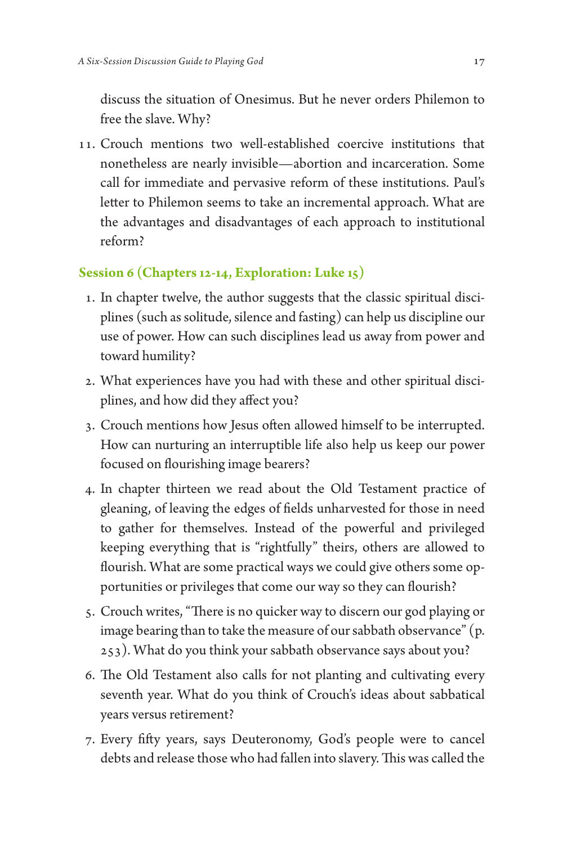discuss the situation of Onesimus. But he never orders Philemon to free the slave. Why?

11. Crouch mentions two well-established coercive institutions that nonetheless are nearly invisible—abortion and incarceration. Some call for immediate and pervasive reform of these institutions. Paul's letter to Philemon seems to take an incremental approach. What are the advantages and disadvantages of each approach to institutional reform?

#### **Session 6 (Chapters 12-14, Exploration: Luke 15)**

- 1. In chapter twelve, the author suggests that the classic spiritual disciplines (such as solitude, silence and fasting) can help us discipline our use of power. How can such disciplines lead us away from power and toward humility?
- 2. What experiences have you had with these and other spiritual disciplines, and how did they affect you?
- 3. Crouch mentions how Jesus often allowed himself to be interrupted. How can nurturing an interruptible life also help us keep our power focused on flourishing image bearers?
- 4. In chapter thirteen we read about the Old Testament practice of gleaning, of leaving the edges of fields unharvested for those in need to gather for themselves. Instead of the powerful and privileged keeping everything that is "rightfully" theirs, others are allowed to flourish. What are some practical ways we could give others some opportunities or privileges that come our way so they can flourish?
- 5. Crouch writes, "There is no quicker way to discern our god playing or image bearing than to take the measure of our sabbath observance" (p. 253). What do you think your sabbath observance says about you?
- 6. The Old Testament also calls for not planting and cultivating every seventh year. What do you think of Crouch's ideas about sabbatical years versus retirement?
- 7. Every fifty years, says Deuteronomy, God's people were to cancel debts and release those who had fallen into slavery. This was called the